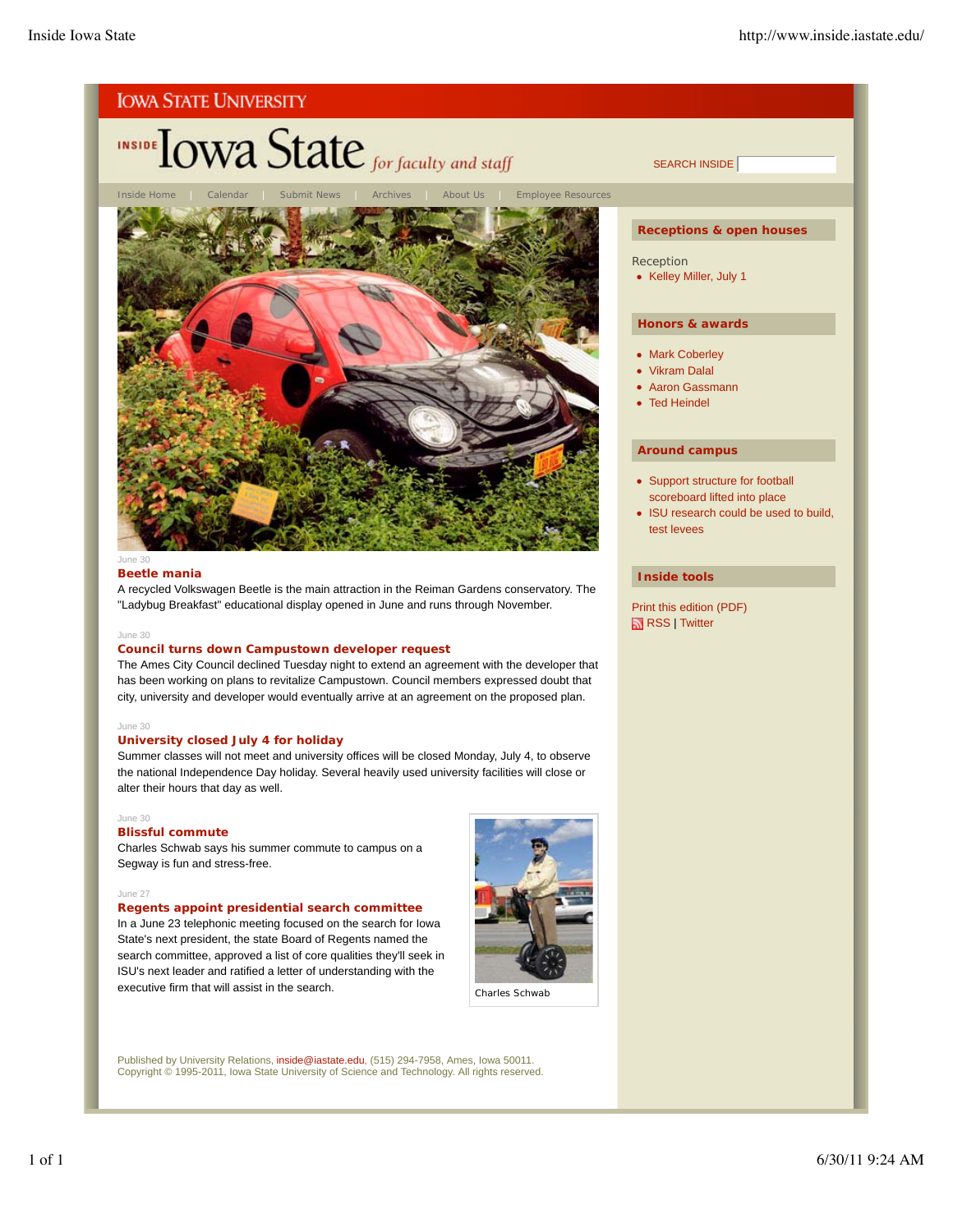

# **INSIDE TOWA State** for faculty and staff



#### June 30

#### **Beetle mania**

A recycled Volkswagen Beetle is the main attraction in the Reiman Gardens conservatory. The "Ladybug Breakfast" educational display opened in June and runs through November.

#### June 30

## **Council turns down Campustown developer request**

The Ames City Council declined Tuesday night to extend an agreement with the developer that has been working on plans to revitalize Campustown. Council members expressed doubt that city, university and developer would eventually arrive at an agreement on the proposed plan.

## June 30

#### **University closed July 4 for holiday**

Summer classes will not meet and university offices will be closed Monday, July 4, to observe the national Independence Day holiday. Several heavily used university facilities will close or alter their hours that day as well.

### June 30

#### **Blissful commute**

Charles Schwab says his summer commute to campus on a Segway is fun and stress-free.

#### June 27

## **Regents appoint presidential search committee**

In a June 23 telephonic meeting focused on the search for Iowa State's next president, the state Board of Regents named the search committee, approved a list of core qualities they'll seek in ISU's next leader and ratified a letter of understanding with the executive firm that will assist in the search.



Charles Schwab

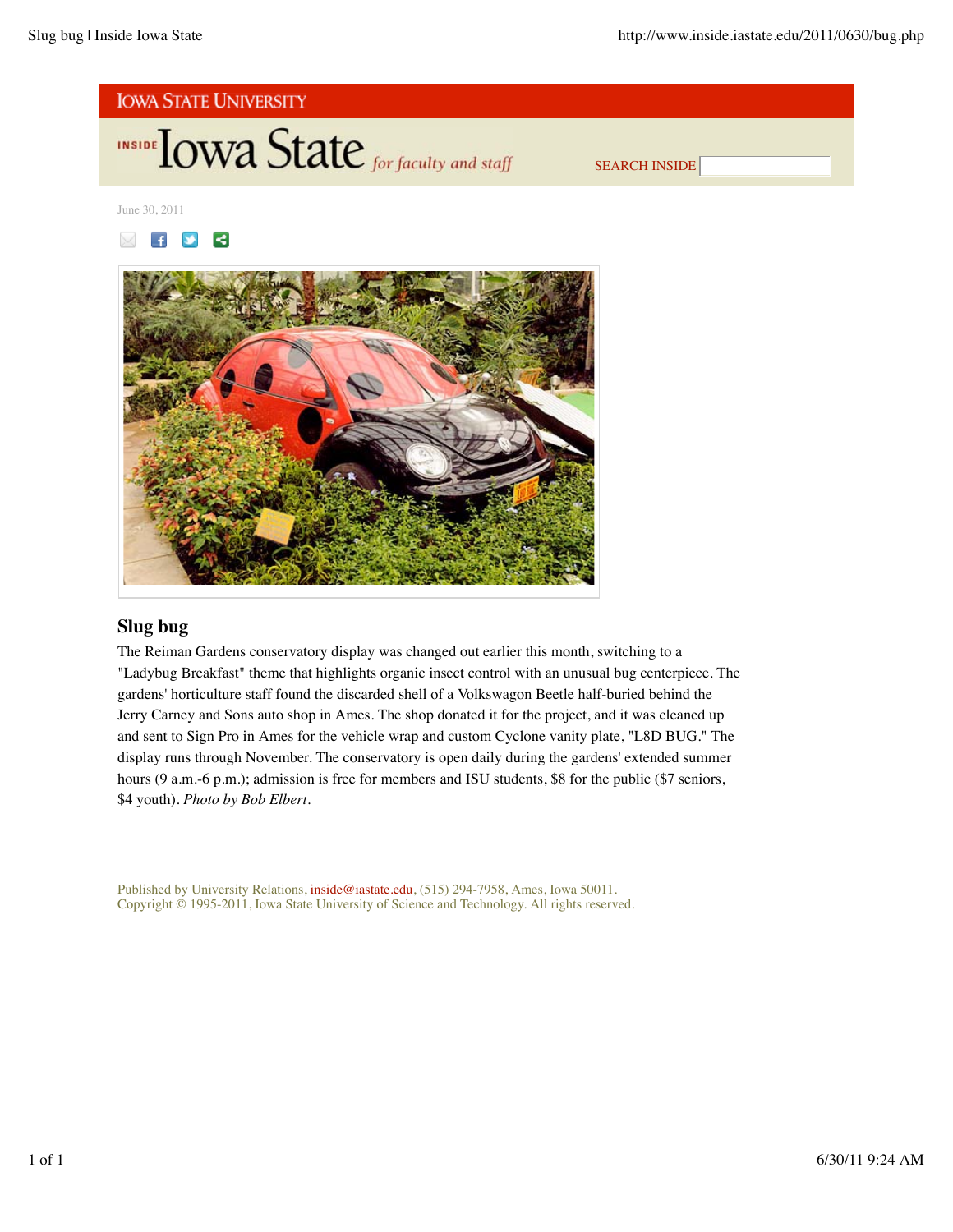



June 30, 2011





# **Slug bug**

The Reiman Gardens conservatory display was changed out earlier this month, switching to a "Ladybug Breakfast" theme that highlights organic insect control with an unusual bug centerpiece. The gardens' horticulture staff found the discarded shell of a Volkswagon Beetle half-buried behind the Jerry Carney and Sons auto shop in Ames. The shop donated it for the project, and it was cleaned up and sent to Sign Pro in Ames for the vehicle wrap and custom Cyclone vanity plate, "L8D BUG." The display runs through November. The conservatory is open daily during the gardens' extended summer hours (9 a.m.-6 p.m.); admission is free for members and ISU students, \$8 for the public (\$7 seniors, \$4 youth). *Photo by Bob Elbert*.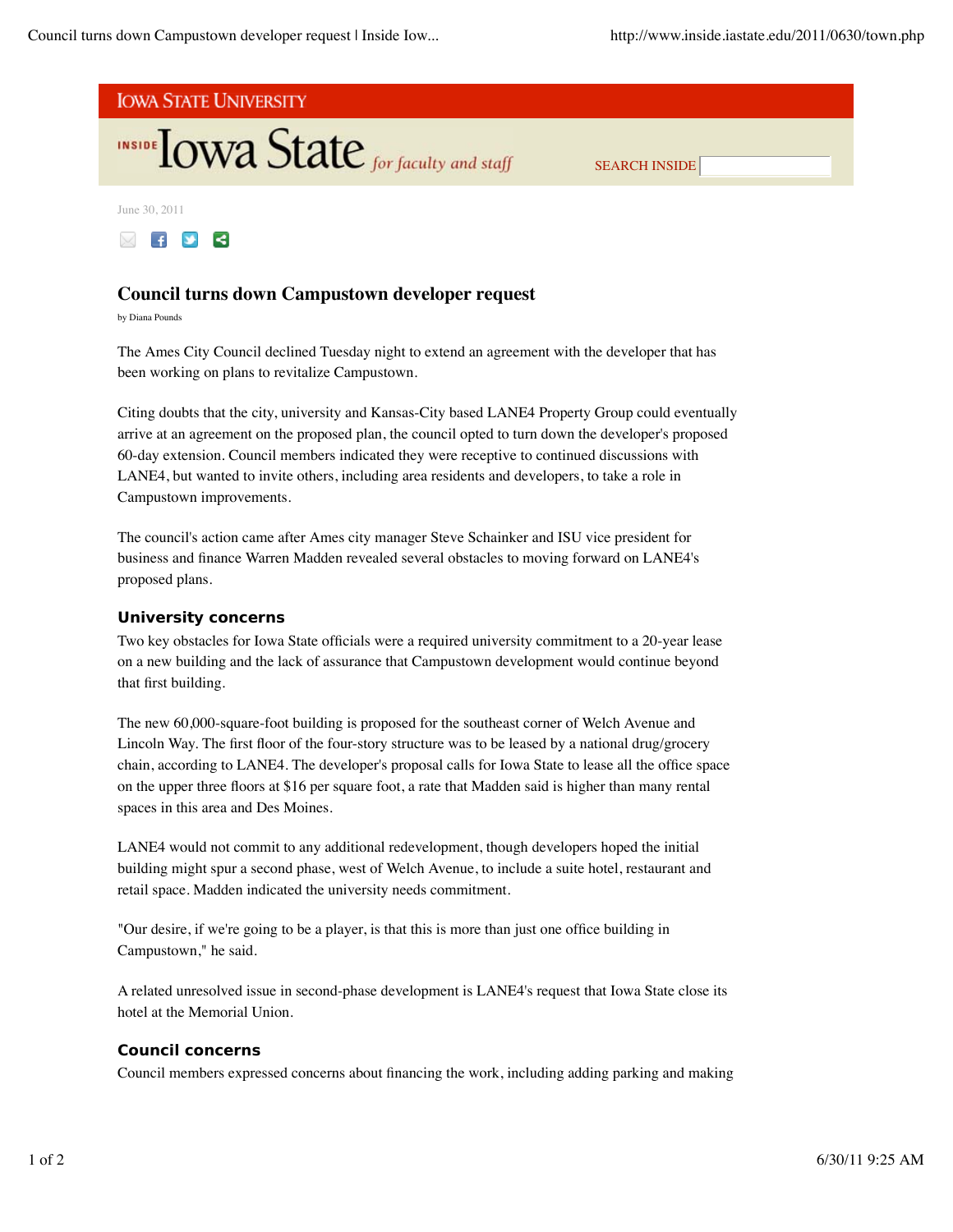



# **Council turns down Campustown developer request**

by Diana Pounds

The Ames City Council declined Tuesday night to extend an agreement with the developer that has been working on plans to revitalize Campustown.

Citing doubts that the city, university and Kansas-City based LANE4 Property Group could eventually arrive at an agreement on the proposed plan, the council opted to turn down the developer's proposed 60-day extension. Council members indicated they were receptive to continued discussions with LANE4, but wanted to invite others, including area residents and developers, to take a role in Campustown improvements.

The council's action came after Ames city manager Steve Schainker and ISU vice president for business and finance Warren Madden revealed several obstacles to moving forward on LANE4's proposed plans.

# **University concerns**

Two key obstacles for Iowa State officials were a required university commitment to a 20-year lease on a new building and the lack of assurance that Campustown development would continue beyond that first building.

The new 60,000-square-foot building is proposed for the southeast corner of Welch Avenue and Lincoln Way. The first floor of the four-story structure was to be leased by a national drug/grocery chain, according to LANE4. The developer's proposal calls for Iowa State to lease all the office space on the upper three floors at \$16 per square foot, a rate that Madden said is higher than many rental spaces in this area and Des Moines.

LANE4 would not commit to any additional redevelopment, though developers hoped the initial building might spur a second phase, west of Welch Avenue, to include a suite hotel, restaurant and retail space. Madden indicated the university needs commitment.

"Our desire, if we're going to be a player, is that this is more than just one office building in Campustown," he said.

A related unresolved issue in second-phase development is LANE4's request that Iowa State close its hotel at the Memorial Union.

# **Council concerns**

Council members expressed concerns about financing the work, including adding parking and making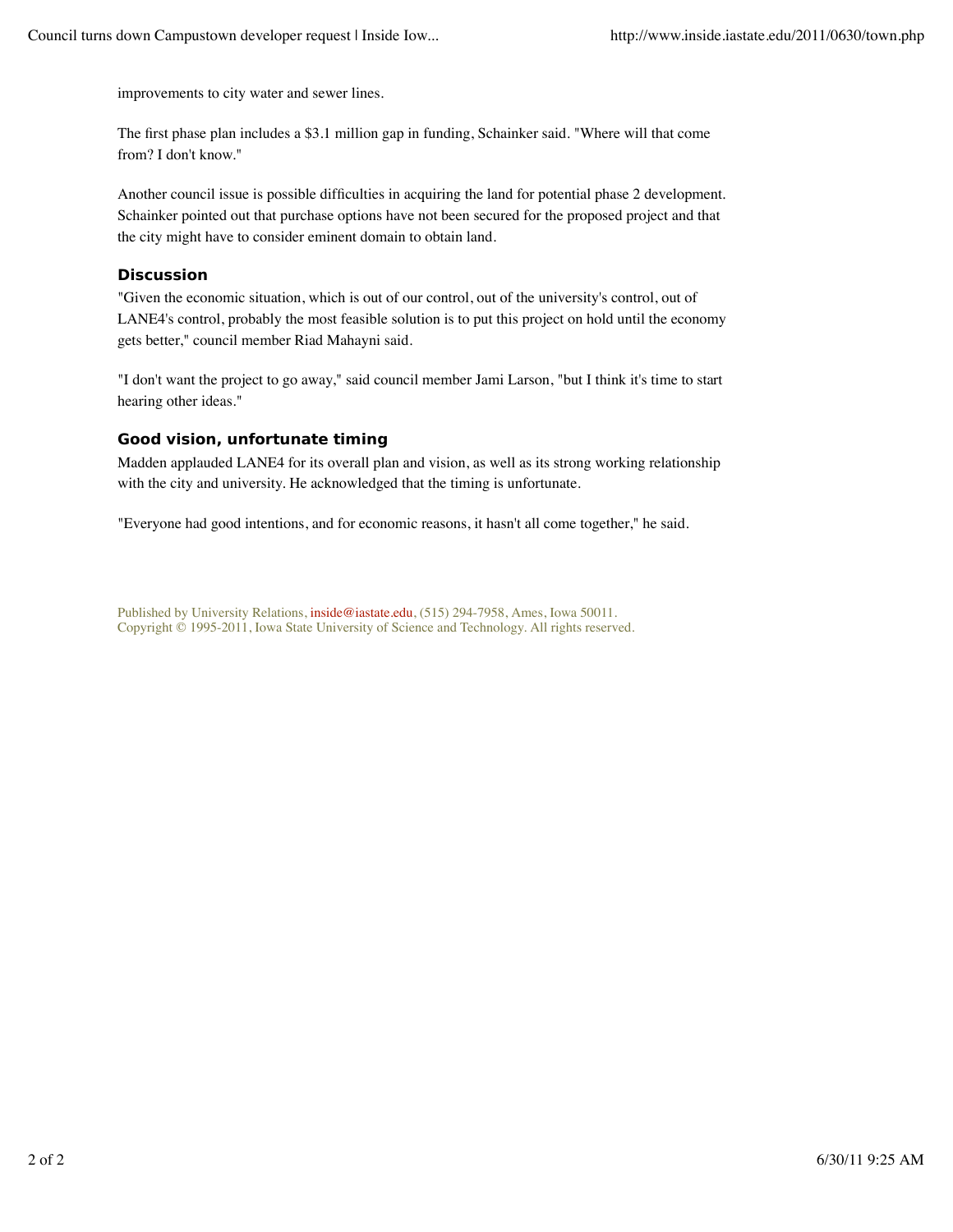improvements to city water and sewer lines.

The first phase plan includes a \$3.1 million gap in funding, Schainker said. "Where will that come from? I don't know."

Another council issue is possible difficulties in acquiring the land for potential phase 2 development. Schainker pointed out that purchase options have not been secured for the proposed project and that the city might have to consider eminent domain to obtain land.

# **Discussion**

"Given the economic situation, which is out of our control, out of the university's control, out of LANE4's control, probably the most feasible solution is to put this project on hold until the economy gets better," council member Riad Mahayni said.

"I don't want the project to go away," said council member Jami Larson, "but I think it's time to start hearing other ideas."

# **Good vision, unfortunate timing**

Madden applauded LANE4 for its overall plan and vision, as well as its strong working relationship with the city and university. He acknowledged that the timing is unfortunate.

"Everyone had good intentions, and for economic reasons, it hasn't all come together," he said.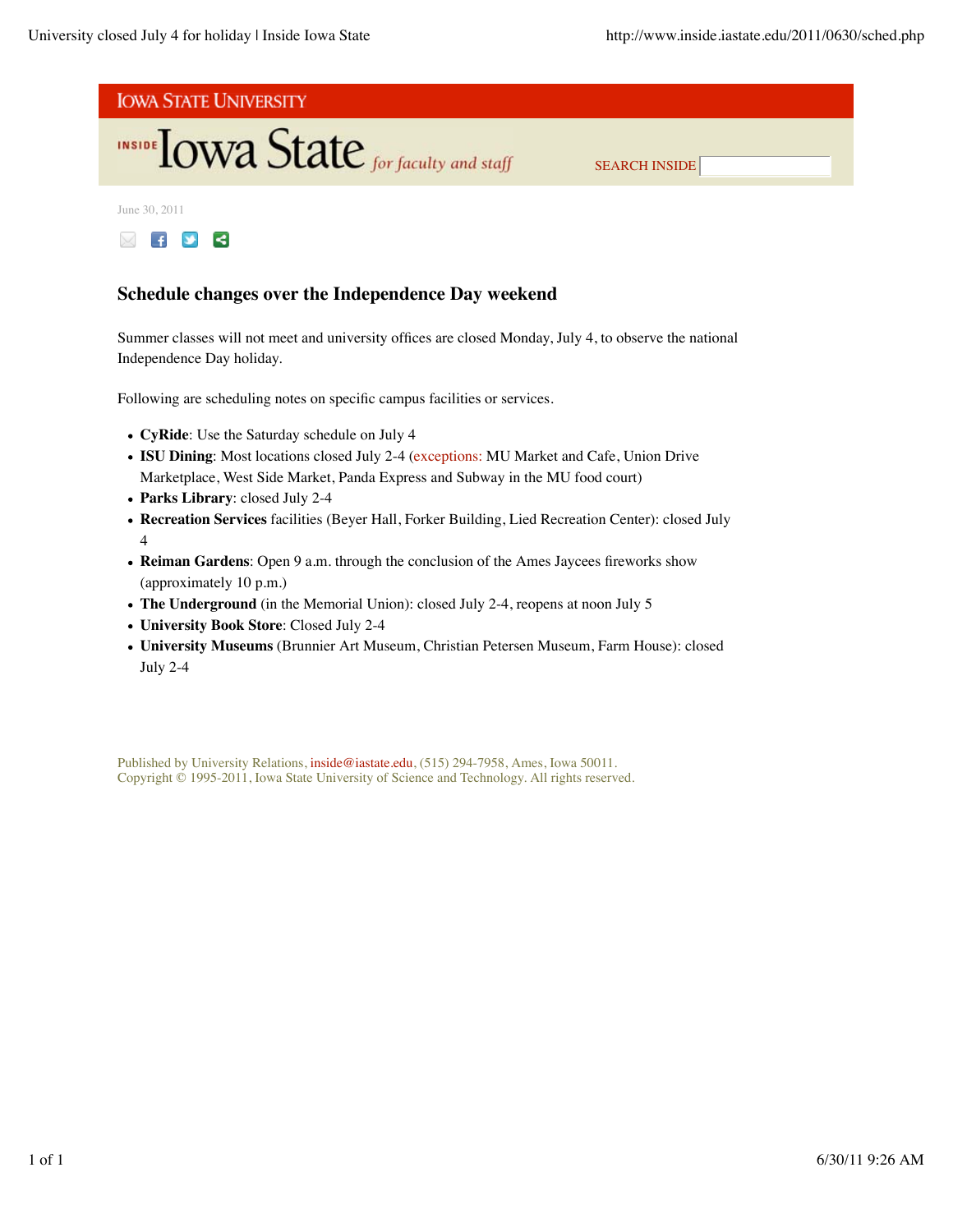



June 30, 2011



# **Schedule changes over the Independence Day weekend**

Summer classes will not meet and university offices are closed Monday, July 4, to observe the national Independence Day holiday.

Following are scheduling notes on specific campus facilities or services.

- **CyRide**: Use the Saturday schedule on July 4
- **ISU Dining**: Most locations closed July 2-4 (exceptions: MU Market and Cafe, Union Drive Marketplace, West Side Market, Panda Express and Subway in the MU food court)
- **Parks Library**: closed July 2-4
- **Recreation Services** facilities (Beyer Hall, Forker Building, Lied Recreation Center): closed July 4
- **Reiman Gardens**: Open 9 a.m. through the conclusion of the Ames Jaycees fireworks show (approximately 10 p.m.)
- **The Underground** (in the Memorial Union): closed July 2-4, reopens at noon July 5
- **University Book Store**: Closed July 2-4
- **University Museums** (Brunnier Art Museum, Christian Petersen Museum, Farm House): closed July 2-4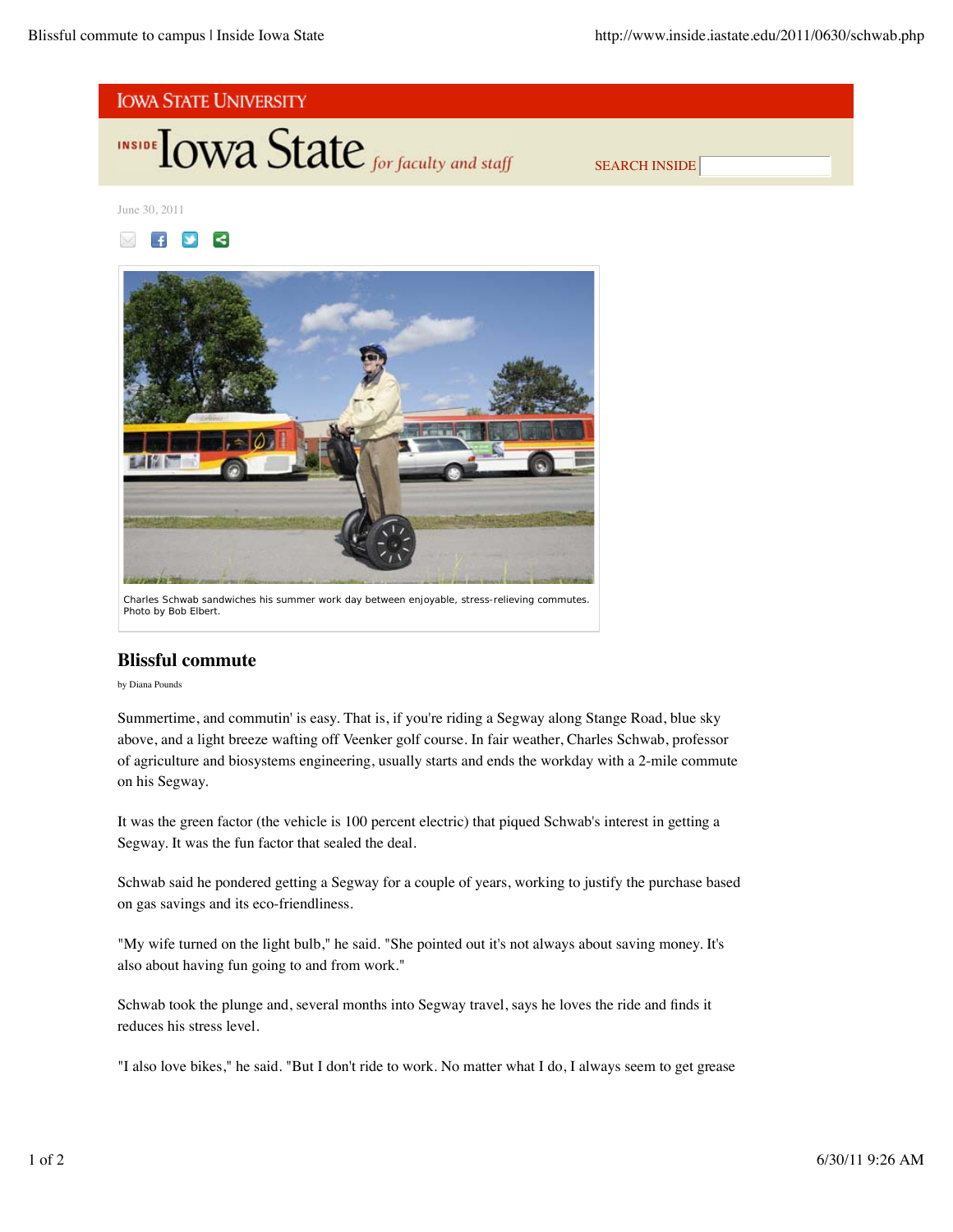





# **Blissful commute**

# by Diana Pounds

Summertime, and commutin' is easy. That is, if you're riding a Segway along Stange Road, blue sky above, and a light breeze wafting off Veenker golf course. In fair weather, Charles Schwab, professor of agriculture and biosystems engineering, usually starts and ends the workday with a 2-mile commute on his Segway.

It was the green factor (the vehicle is 100 percent electric) that piqued Schwab's interest in getting a Segway. It was the fun factor that sealed the deal.

Schwab said he pondered getting a Segway for a couple of years, working to justify the purchase based on gas savings and its eco-friendliness.

"My wife turned on the light bulb," he said. "She pointed out it's not always about saving money. It's also about having fun going to and from work."

Schwab took the plunge and, several months into Segway travel, says he loves the ride and finds it reduces his stress level.

"I also love bikes," he said. "But I don't ride to work. No matter what I do, I always seem to get grease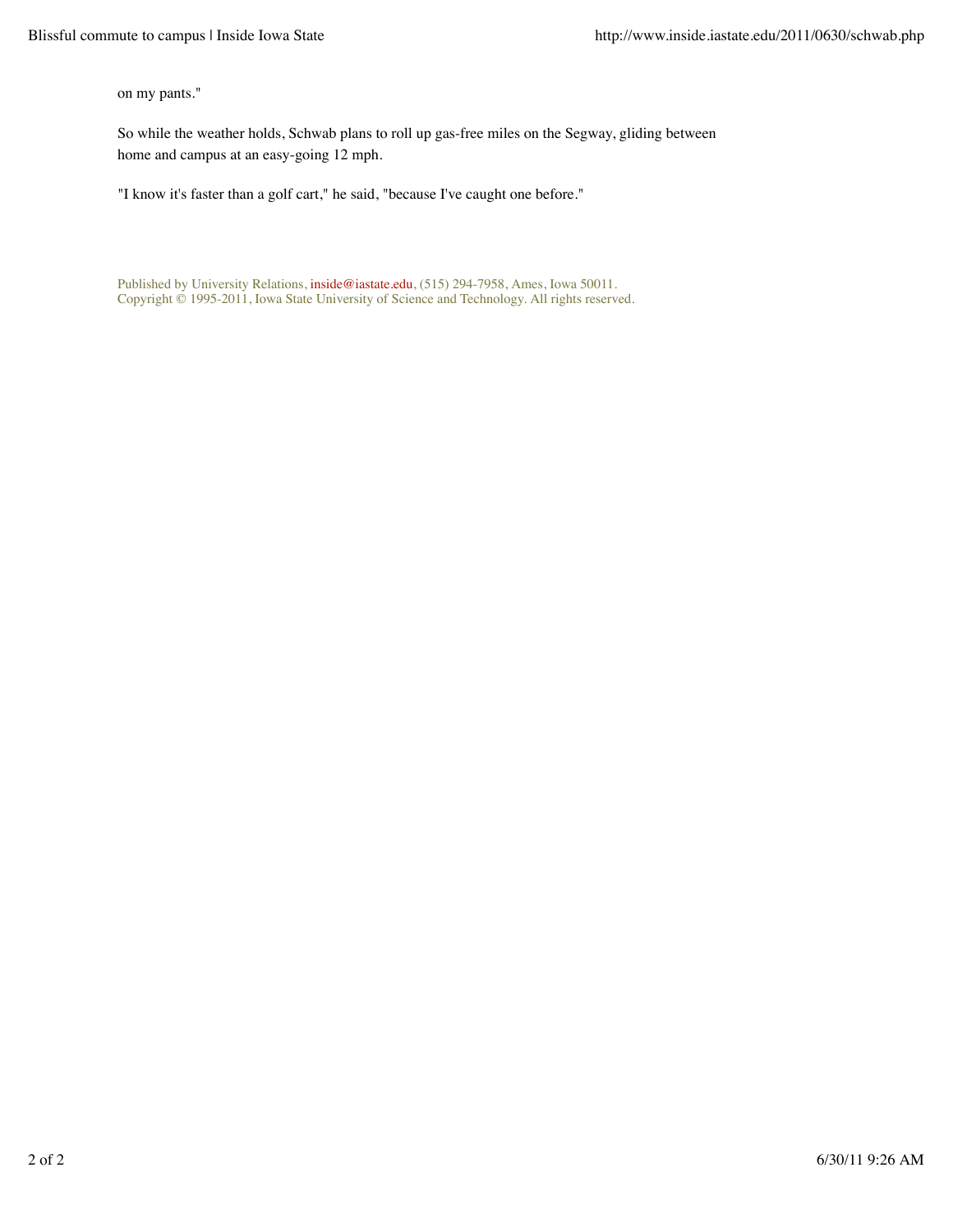on my pants."

So while the weather holds, Schwab plans to roll up gas-free miles on the Segway, gliding between home and campus at an easy-going 12 mph.

"I know it's faster than a golf cart," he said, "because I've caught one before."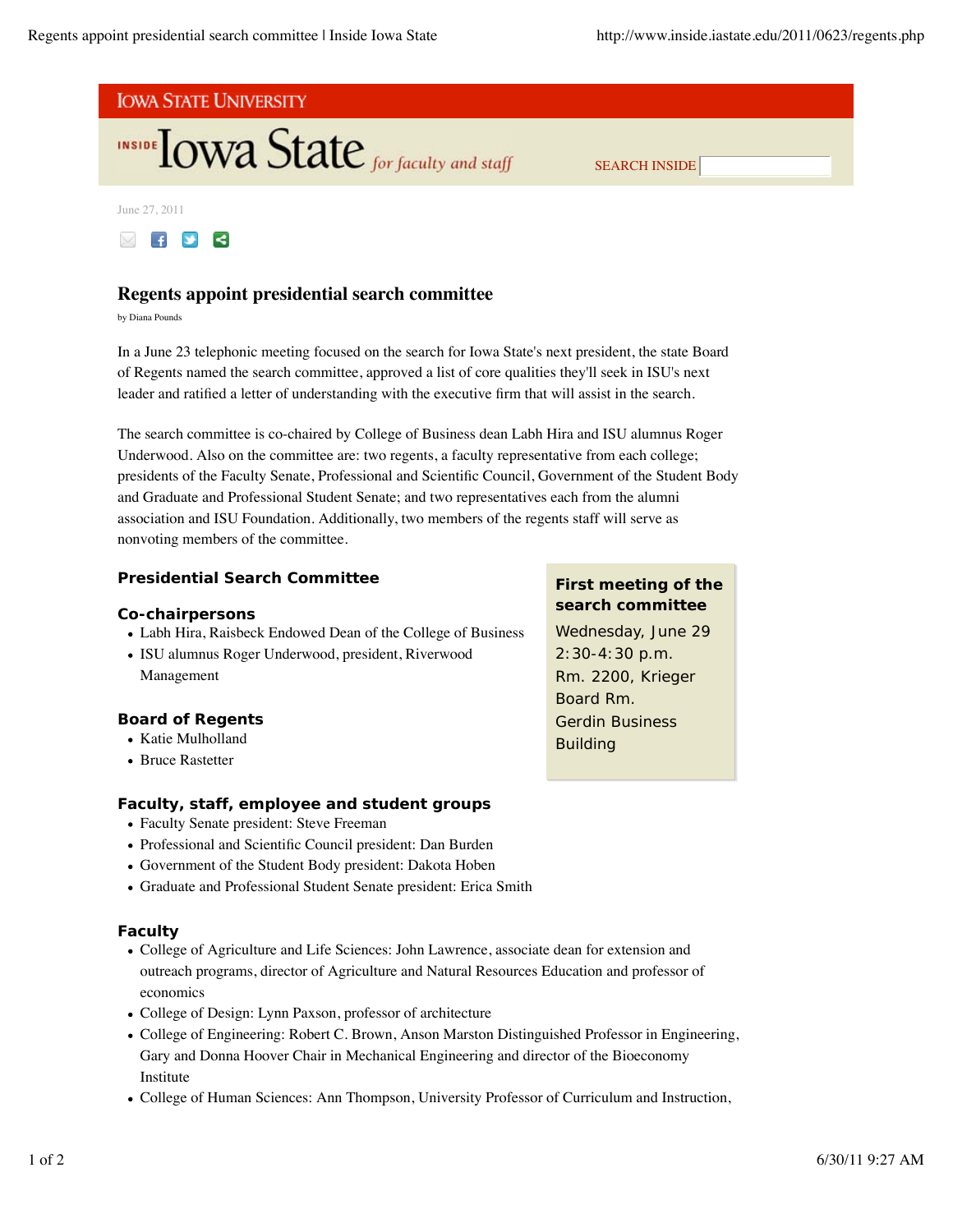

June 27, 2011



# **Regents appoint presidential search committee**

by Diana Pounds

In a June 23 telephonic meeting focused on the search for Iowa State's next president, the state Board of Regents named the search committee, approved a list of core qualities they'll seek in ISU's next leader and ratified a letter of understanding with the executive firm that will assist in the search.

The search committee is co-chaired by College of Business dean Labh Hira and ISU alumnus Roger Underwood. Also on the committee are: two regents, a faculty representative from each college; presidents of the Faculty Senate, Professional and Scientific Council, Government of the Student Body and Graduate and Professional Student Senate; and two representatives each from the alumni association and ISU Foundation. Additionally, two members of the regents staff will serve as nonvoting members of the committee.

# **Presidential Search Committee**

## **Co-chairpersons**

- Labh Hira, Raisbeck Endowed Dean of the College of Business
- ISU alumnus Roger Underwood, president, Riverwood Management

## **Board of Regents**

- Katie Mulholland
- Bruce Rastetter

# **Faculty, staff, employee and student groups**

- Faculty Senate president: Steve Freeman
- Professional and Scientific Council president: Dan Burden
- Government of the Student Body president: Dakota Hoben
- Graduate and Professional Student Senate president: Erica Smith

## **Faculty**

- College of Agriculture and Life Sciences: John Lawrence, associate dean for extension and outreach programs, director of Agriculture and Natural Resources Education and professor of economics
- College of Design: Lynn Paxson, professor of architecture
- College of Engineering: Robert C. Brown, Anson Marston Distinguished Professor in Engineering, Gary and Donna Hoover Chair in Mechanical Engineering and director of the Bioeconomy Institute
- College of Human Sciences: Ann Thompson, University Professor of Curriculum and Instruction,

# **First meeting of the search committee**

Wednesday, June 29 2:30-4:30 p.m. Rm. 2200, Krieger Board Rm. Gerdin Business Building